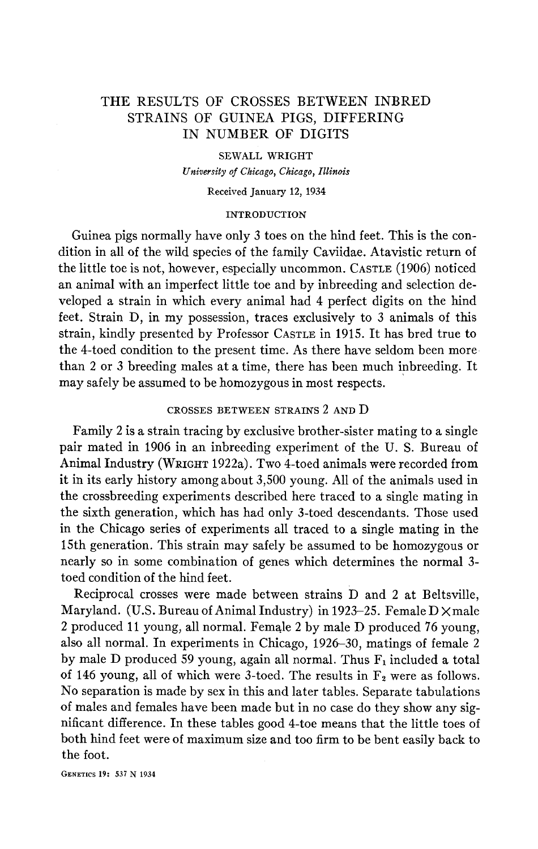# THE RESULTS OF CROSSES BETWEEN INBRED STRAINS OF GUINEA PIGS, DIFFERING IN NUMBER OF DIGITS

#### **SEWALL WRIGHT**

*University of Chicago, Chicago, Illinois* 

#### **Received** January **12, 1934**

#### INTRODUCTION

Guinea pigs normally have only 3 toes on the hind feet. This is the condition in all of the wild species of the family Caviidae. Atavistic return of the little toe is not, however, especially uncommon. CASTLE (1906) noticed an animal with an imperfect little toe and by inbreeding and selection developed a strain in which every animal had 4 perfect digits on the hind feet. Strain D, in my possession, traces exclusively to 3 animals of this strain, kindly presented by Professor CASTLE in 1915. It has bred true to the 4-toed condition to the present time. As there have seldom been more than 2 or 3 breeding males at a time, there has been much inbreeding. It may safely be assumed to be homozygous in most respects.

# CROSSES BETWEEN STRAINS 2 AND D

Family 2 is a strain tracing by exclusive brother-sister mating to a single pair mated in 1906 in an inbreeding experiment of the U. S. Bureau of Animal Industry (WRIGHT 1922a). Two 4-toed animals were recorded from it in its early history among about 3,500 young. All of the animals used in the crossbreeding experiments described here traced to a single mating in the sixth generation, which has had only 3-toed descendants. Those used in the Chicago series of experiments all traced to a single mating in the 15th generation. This strain may safely be assumed to be homozygous or nearly so in some combination of genes which determines the normal 3 toed condition of the hind feet.

Reciprocal crosses were made between strains D and 2 at Beltsville, Maryland. (U.S. Bureau of Animal Industry) in 1923–25. Female  $D \times$ male 2 produced 11 young, all normal. Female 2 by male D produced 76 young, also all normal. In experiments in Chicago, 1926-30, matings of female 2 by male D produced 59 young, again all normal. Thus  $F_1$  included a total of 146 young, all of which were 3-toed. The results in  $F_2$  were as follows. No separation is made by sex in this and later tables. Separate tabulations of males and females have been made but in no case do they show any significant difference. In these tables good 4-toe means that the little toes of both hind feet were of maximum size and too firm to be bent easily back to the foot.

**GENETICS 19:** *531* N **1934**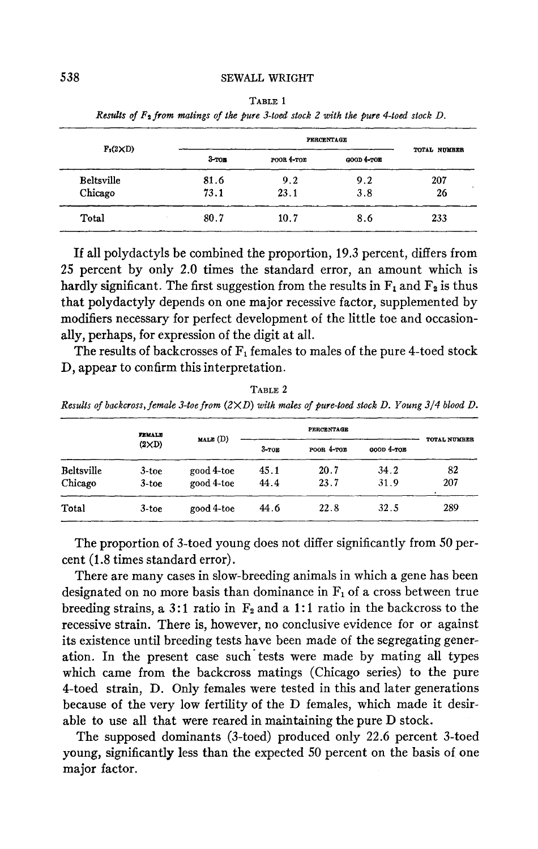|                   |          |                      | PERCENTAGE |              |
|-------------------|----------|----------------------|------------|--------------|
| $F_2(2\times D)$  | $3-$ топ | $po$ or $4$ - $ro$ e | GOOD 4-TOE | TOTAL NUMBER |
| <b>Beltsville</b> | 81.6     | 9.2                  | 9.2        | 207          |
| Chicago           | 73.1     | 23.1                 | 3.8        | 26           |
| Total             | 80.7     | 10.7                 | 8.6        | 233          |

**TABLE 1**  *Results* **of** *Fa from Wings of the pure 3-toed stock 2 with the pure +toed stock D.* 

If all polydactyls be combined the proportion, 19.3 percent, differs from 25 percent by only **2.0** times the standard error, an amount which is hardly significant. The first suggestion from the results in  $\mathbf{F}_1$  and  $\mathbf{F}_2$  is thus that polydactyly depends on one major recessive factor, supplemented by modifiers necessary for perfect development of the little toe and occasionally, perhaps, for expression of the digit at all.

The results of backcrosses of  $F_1$  females to males of the pure 4-toed stock D, appear to confirm this interpretation.

**TABLE 2**  *Results of backcross, female 3-toe from* (2X *D) with males of pure-toed stock D. Young 314 blood D.* 

|                       | <b>FEMALE</b>        |                          |              | <b>PERCENTAGE</b> |              |              |
|-----------------------|----------------------|--------------------------|--------------|-------------------|--------------|--------------|
|                       | $(2\times D)$        | MALE (D)                 | $3-TOE$      | POOR 4-TOB        | GOOD 4-TOB   | TOTAL NUMBER |
| Beltsville<br>Chicago | $3$ -toe<br>$3$ -toe | good 4-toe<br>good 4-toe | 45.1<br>44.4 | 20.7<br>23.7      | 34.2<br>31.9 | 82<br>207    |
| Total                 | $3$ -toe             | good 4-toe               | 44.6         | 22.8              | 32.5         | 289          |

The proportion of 3-toed young does not differ significantly from 50 percent (1.8 times standard error).

There are many cases in slow-breeding animals in which a gene has been designated on no more basis than dominance in  $F<sub>1</sub>$  of a cross between true breeding strains, a 3:1 ratio in  $F_2$  and a 1:1 ratio in the backcross to the recessive strain. There is, however, no conclusive evidence for or against its existence until breeding tests have been made of the segregating generation. In the present case such'tests were made by mating all types which came from the backcross matings (Chicago series) to the pure 4-toed strain, **D.** Only females were tested in this and later generations because of the very low fertility of the D females, which made it desirable to use all that were reared in maintaining the pure D stock.

The supposed dominants (3-toed) produced only **22.6** percent 3-toed young, significantly less than the expected 50 percent on the basis of one major factor.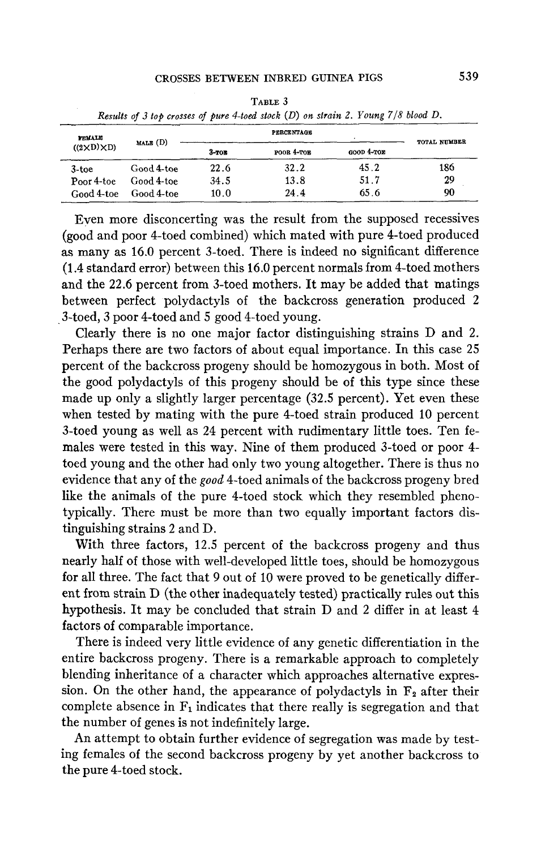| ТАВГЕ Э<br>Results of 3 top crosses of pure 4-toed stock (D) on strain 2. Young 7/8 blood D. |            |         |                   |              |              |
|----------------------------------------------------------------------------------------------|------------|---------|-------------------|--------------|--------------|
| <b>FEMALE</b>                                                                                | MALE (D)   |         | <b>PERCENTAGE</b> |              | TOTAL NUMBER |
| $((2 \times D) \times D)$                                                                    |            | $3-TOB$ | POOR 4-TOE        | $600D$ 4-TOE |              |
| $3$ -toe                                                                                     | Good 4-toe | 22.6    | 32.2              | 45.2         | 186          |
| Poor 4-toe                                                                                   | Good 4-toe | 34.5    | 13.8              | 51.7         | 29           |
| Good 4-toe                                                                                   | Good 4-toe | 10.0    | 24.4              | 65.6         | 90           |

TABLE 3

Even more disconcerting was the result from the supposed recessives (good and poor 4-toed combined) which mated with pure 4-toed produced as many as 16.0 percent 3-toed. There is indeed no significant difference (1.4 standard error) between this 16.0 percent normals from 4-toed mothers and the 22.6 percent from 3-toed mothers. It may be added that matings between perfect polydactyls of the backcross generation produced 2 3-toed, 3 poor 4-toed and 5 good 4-toed young.

Clearly there is no one major factor distinguishing strains D and 2. Perhaps there are two factors of about equal importance. In this case 25 percent of the backcross progeny should be homozygous in both. Most of the good polydactyls of this progeny should be of this type since these made up only a slightly larger percentage (32.5 percent). Yet even these when tested by mating with the pure 4-toed strain produced 10 percent 3-toed young as well as 24 percent with rudimentary little toes. Ten females were tested in this way. Nine of them produced 3-toed or poor 4 toed young and the other had only two young altogether. There is thus no evidence that any of the *good* 4-toed animals of the backcross progeny bred like the animals of the pure 4-toed stock which they resembled phenotypically. There must be more than two equally important factors distinguishing strains 2 and D.

With three factors, 12.5 percent of the backcross progeny and thus nearly half of those with well-developed little toes, should be homozygous for all three. The fact that 9 out of 10 were proved to be genetically different from strain D (the other inadequately tested) practically rules out this hypothesis. It may be concluded that strain D and 2 differ in at least 4 factors of comparable importance.

There is indeed very little evidence of any genetic differentiation in the entire backcross progeny. There is a remarkable approach to completely blending inheritance of a character which approaches alternative expression. On the other hand, the appearance of polydactyls in  $F_2$  after their complete absence in  $F_1$  indicates that there really is segregation and that the number of genes is not indefinitely large.

An attempt to obtain further evidence of segregation was made by testing females of the second backcross progeny by yet another backcross to the pure 4-toed stock.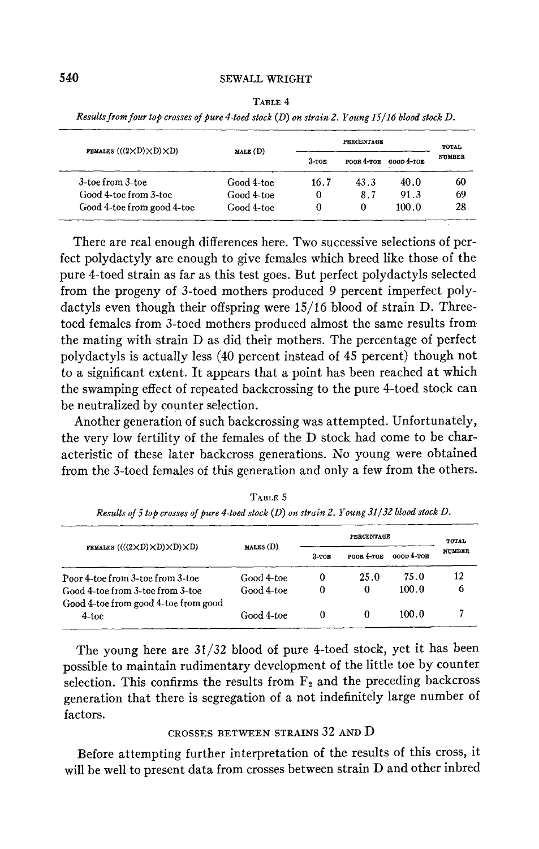| <b>FEMALES</b> $(((2 \times D) \times D) \times D)$ |            | PERCENTAGE |              |            | TOTAL         |
|-----------------------------------------------------|------------|------------|--------------|------------|---------------|
|                                                     | MALE(D)    | $3-TOE$    | $poos$ 4-TOE | GOOD 4-TOE | <b>NUMBER</b> |
| 3-toe from 3-toe                                    | Good 4-toe | 16.7       | 43.3         | 40.0       | 60            |
| Good 4-toe from 3-toe                               | Good 4-toe | 0          | 8.7          | 91.3       | 69            |
| Good 4-toe from good 4-toe                          | Good 4-toe | 0          | 0            | 100.0      | 28            |

**TABLE 4**  *Res& from four top crosses of pure 4-toed stock (D) on strain 2. Young 15/16 blood stock D.* 

There are real enough differences here. Two successive selections of perfect polydactyly are enough to give females which breed like those of the pure 4-toed strain as far as this test goes. But perfect polydactyls selected from the progeny of 3-toed mothers produced 9 percent imperfect polydactyls even though their offspring were 15/16 blood of strain D. Threetoed females from 3-toed mothers produced almost the same results from the mating with strain D as did their mothers. The percentage of perfect polydactyls is actually less (40 percent instead of 45 percent) though not to a significant extent. It appears that a point has been reached at which the swamping effect of repeated backcrossing to the pure 4-toed stock can be neutralized by counter selection.

Another generation of such backcrossing was attempted. Unfortunately, the very low fertility of the females of the D stock had come to be characteristic of these later backcross generations. No young were obtained from the 3-toed females of this generation and only a few from the others.

|                                                                          |            | <b>PERCENTAGE</b> |            |              | TOTAL         |
|--------------------------------------------------------------------------|------------|-------------------|------------|--------------|---------------|
| FEMALES $(((2 \times D) \times D) \times D)$                             | MALES (D)  | $3-TOE$           | POOR 4-TOE | $600D$ 4-TOE | <b>NUMBER</b> |
| Poor 4-toe from 3-toe from 3-toe                                         | Good 4-toe | 0                 | 25.0       | 75.0         | 12            |
| Good 4-toe from 3-toe from 3-toe<br>Good 4-toe from good 4-toe from good | Good 4-toe | 0                 | 0          | 100.0        | 6             |
| $4$ -toe                                                                 | Good 4-toe |                   |            | 100.0        |               |

**TABLE** 5 *Results of5 top crosses of pure 4-toed stock (D) on strain 2. Young 31/32 blood stock D.* 

The young here are **31/32** blood of pure 4-toed stock, yet it has been possible to maintain rudimentary development of the little toe by counter selection. This confirms the results from  $F_2$  and the preceding backcross generation that there is segregation of a not indefinitely large number of factors.

# CROSSES BETWEEN STRAINS **32** AND D

Before attempting further interpretation of the results of this cross, it will be well to present data from crosses between strain D and other inbred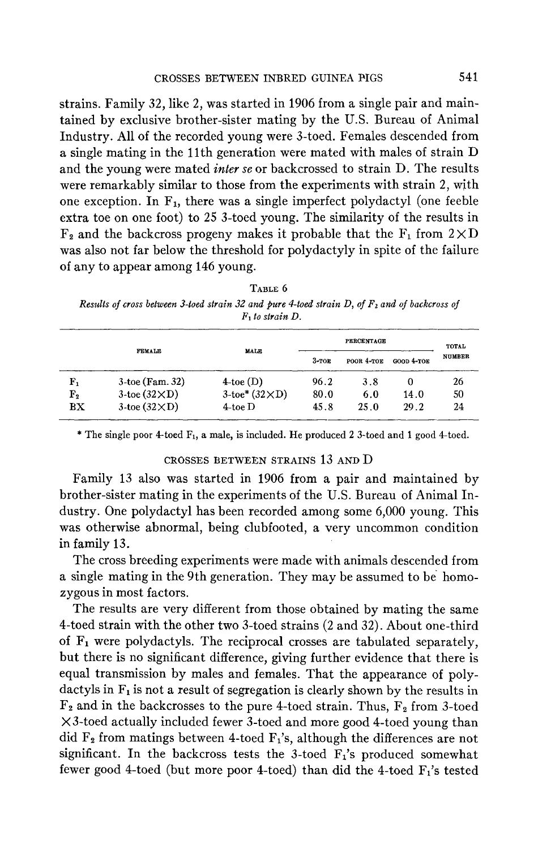strains. Family 32, like 2, was started in 1906 from a single pair and maintained by exclusive brother-sister mating by the U.S. Bureau of Animal Industry. All of the recorded young were 3-toed. Females descended from a single mating in the 11th generation were mated with males of strain D and the young were mated *inter* se or backcrossed to strain D. The results were remarkably similar to those from the experiments with strain 2, with one exception. In  $F_1$ , there was a single imperfect polydactyl (one feeble extra toe on one foot) to 25 3-toed young. The similarity of the results in  $F_2$  and the backcross progeny makes it probable that the  $F_1$  from  $2 \times D$ was also not far below the threshold for polydactyly in spite of the failure of any to appear among 146 young.

**TABLE** *6 Results of cross between 3-toed strain 32 and pure 4-toed strain D, of*  $F_2$  *and of backcross of* F1 *to strain D.* 

|             |                         |                          |         | <b>PERCENTAGE</b><br><b>MALE</b> |              |               |
|-------------|-------------------------|--------------------------|---------|----------------------------------|--------------|---------------|
|             | <b>FEMALE</b>           |                          | $3-TOE$ | POOR 4-TOE                       | $GOOD 4-TOE$ | <b>NUMBER</b> |
| F,          | $3$ -toe (Fam. 32)      | $4$ -toe (D)             | 96.2    | 3.8                              | 0            | 26            |
| ${\rm F_2}$ | $3$ -toe $(32\times D)$ | $3$ -toe* $(32\times D)$ | 80.0    | 6.0                              | 14.0         | 50            |
| BX          | $3$ -toe $(32\times D)$ | $4$ -toe D               | 45.8    | 25.0                             | 29.2         | 24            |

\* The single poor 4-toed  $F_1$ , a male, is included. He produced 2 3-toed and 1 good 4-toed.

#### CROSSES BETWEEN STRAINS 13 AND D

Family 13 also was started in 1906 from a pair and maintained by brother-sister mating in the experiments of the U.S. Bureau of Animal Industry. One polydactyl has been recorded among some 6,000 young. This was otherwise abnormal, being clubfooted, a very uncommon condition in family 13.

The cross breeding experiments were made with animals descended from a single mating in the 9th generation. They may be assumed to be homozygous in most factors.

The results are very different from those obtained by mating the same 4-toed strain with the other two 3-toed strains (2 and 32). About one-third **of F1** were polydactyls. The reciprocal crosses are tabulated separately, but there is no significant difference, giving further evidence that there is equal transmission by males and females. That the appearance of polydactyls in  $F_1$  is not a result of segregation is clearly shown by the results in  $F_2$  and in the backcrosses to the pure 4-toed strain. Thus,  $F_2$  from 3-toed  $\times$ 3-toed actually included fewer 3-toed and more good 4-toed young than did  $F_2$  from matings between 4-toed  $F_1$ 's, although the differences are not significant. In the backcross tests the 3-toed  $F_1$ 's produced somewhat fewer good 4-toed (but more poor 4-toed) than did the 4-toed  $F_1$ 's tested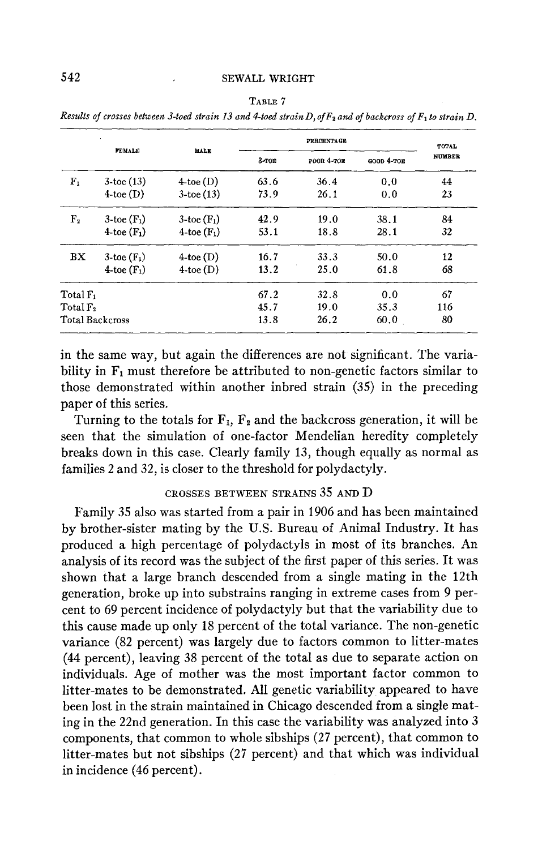|                      |                        |                  |       | PERCENTAGE |            | TOTAL         |
|----------------------|------------------------|------------------|-------|------------|------------|---------------|
|                      | <b>FEMALE</b>          | MALE             | 3-ток | POOR 4-TOE | GOOD 4-TOE | <b>NUMBER</b> |
| $F_{1}$              | $3$ -toe $(13)$        | $4$ -toe (D)     | 63.6  | 36.4       | 0.0        | 44            |
|                      | $4$ toe $(D)$          | $3$ -toe $(13)$  | 73.9  | 26.1       | 0.0        | 23            |
| F <sub>2</sub>       | $3$ -toe $(F_1)$       | $3$ -toe $(F_1)$ | 42.9  | 19.0       | 38.1       | 84            |
|                      | 4-toe $(F_1)$          | 4-toe $(F_1)$    | 53.1  | 18.8       | 28.1       | 32            |
| BX                   | $3$ -toe $(F_1)$       | $4$ -toe $(D)$   | 16.7  | 33.3       | 50.0       | 12            |
|                      | 4-toe $(F_1)$          | $4$ -toe $(D)$   | 13.2  | 25.0       | 61.8       | 68            |
| Total F <sub>1</sub> |                        |                  | 67.2  | 32.8       | 0.0        | 67            |
| Total F <sub>2</sub> |                        |                  | 45.7  | 19.0       | 35.3       | 116           |
|                      | <b>Total Backcross</b> |                  | 13.8  | 26.2       | 60.0       | 80            |

**TABLE 7**  Results of crosses between 3-toed strain 13 and 4-toed strain D, of  $F_2$  and of backcross of  $F_1$  to strain D.

in the same way, but again the differences are not significant. The variability in  $F_1$  must therefore be attributed to non-genetic factors similar to those demonstrated within another inbred strain (35) in the preceding paper of this series.

Turning to the totals for  $\mathbf{F}_1$ ,  $\mathbf{F}_2$  and the backcross generation, it will be seen that the simulation of one-factor Mendelian heredity completely breaks down in this case. Clearly family 13, though equally as normal as families 2 and 32, is closer to the threshold for polydactyly.

# **CROSSES BETWEEN STRAINS** *35* **AND** D

Family 35 also was started from a pair in 1906 and has been maintained by brother-sister mating by the US. Bureau of Animal Industry. It has produced a high percentage of polydactyls in most of its branches. An analysis of its record was the subject of the first paper of this series. It was shown that a large branch descended from a single mating in the 12th generation, broke up into substrains ranging in extreme cases from 9 percent to 69 percent incidence of polydactyly but that the variability due to this cause made up only 18 percent of the total variance. The non-genetic variance (82 percent) was largely due to factors common to litter-mates **(44** percent), leaving 38 percent of the total as due to separate action on individuals. Age of mother was the most important factor common to litter-mates to be demonstrated. All genetic variability appeared to have been lost in the strain maintained in Chicago descended from a single mating in the 22nd generation. In this case the variability was analyzed into **3**  components, that common to whole sibships (27 percent), that common to litter-mates but not sibships (27 percent) and that which was individual in incidence (46 percent).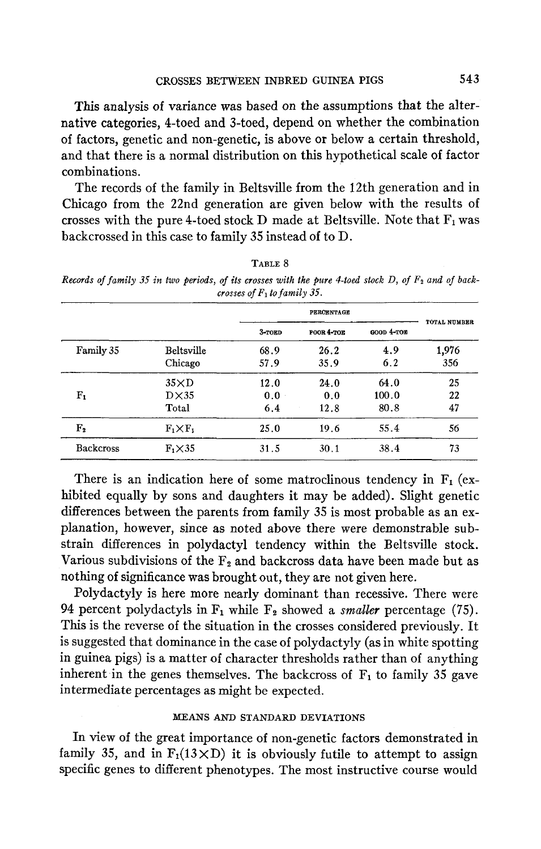This analysis of variance was based on the assumptions that the alternative categories, 4-toed and 3-toed, depend on whether the combination of factors, genetic and non-genetic, is above or below a certain threshold, and that there is a normal distribution on this hypothetical scale of factor combinations.

The records of the family in Beltsville from the 12th generation and in Chicago from the 22nd generation are given below with the results of crosses with the pure 4-toed stock D made at Beltsville. Note that  $F_1$  was backcrossed in this case to family 35 instead of to D.

**TABLE 8**  *Records of family 35 in two periods, of its crosses with the pure 4-toed stock D, of*  $F_2$  *and of back-*

*crosses of FI to family 35.*  **PEROEWTAQE TOTAL NUMBER k0ED POOB 4-ToE WOD 4-TOB** 

|                  |                                       | $3$ -TOED          | POOR 4-TOE          | GOOD 4-TOE            | TOTAL NUMBER   |
|------------------|---------------------------------------|--------------------|---------------------|-----------------------|----------------|
| Family 35        | <b>Beltsville</b><br>Chicago          | 68.9<br>57.9       | 26.2<br>35.9        | 4.9<br>6.2            | 1,976<br>356   |
| ${\bf F_1}$      | $35\times D$<br>$D\times 35$<br>Total | 12.0<br>0.0<br>6.4 | 24.0<br>0.0<br>12.8 | 64.0<br>100.0<br>80.8 | 25<br>22<br>47 |
| ${\bf F_2}$      | $F_1\times F_1$                       | 25.0               | 19.6                | 55.4                  | 56             |
| <b>Backcross</b> | $F_1 \times 35$                       | 31.5               | 30.1                | 38.4                  | 73             |

There is an indication here of some matroclinous tendency in  $F_1$  (exhibited equally by sons and daughters it may be added). Slight genetic differences between the parents from family 35 is most probable as an explanation, however, since as noted above there were demonstrable substrain differences in polydactyl tendency within the Beltsville stock. Various subdivisions of the  $F_2$  and backcross data have been made but as nothing of significance was brought out, they are not given here.

Polydactyly is here more nearly dominant than recessive. There were 94 percent polydactyls in  $F_1$  while  $F_2$  showed a *smaller* percentage (75). This is the reverse of the situation in the crosses considered previously. It is suggested that dominance in the case of polydactyly (as in white spotting in guinea pigs) is a matter **of** character thresholds rather than of anything inherent in the genes themselves. The backcross of  $F_1$  to family 35 gave intermediate percentages as might be expected.

## MEANS **AND** STANDARD DEVIATIONS

In view of the great importance of non-genetic factors demonstrated in family 35, and in  $F_1(13 \times D)$  it is obviously futile to attempt to assign specific genes to different phenotypes. The most instructive course would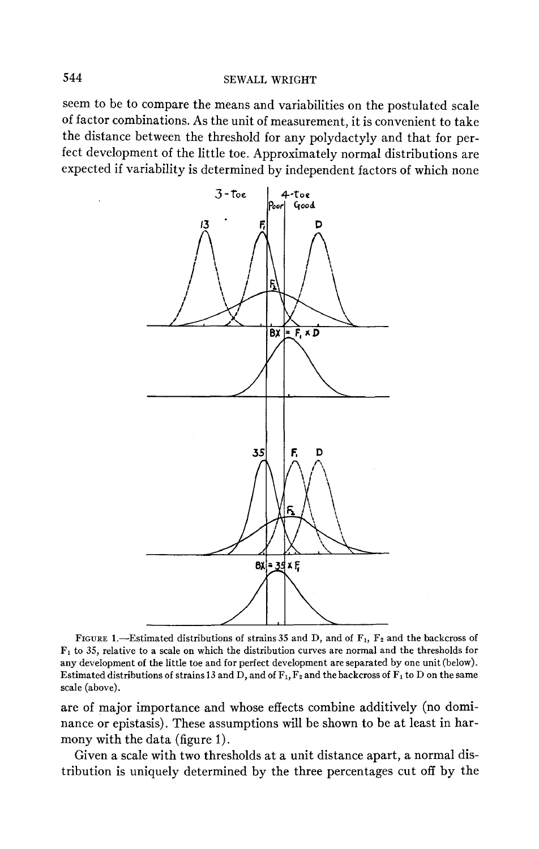seem to be to compare the means and variabilities on the postulated scale of factor combinations. As the unit of measurement, it is convenient to take the distance between the threshold for any polydactyly and that for perfect development of the little toe. Approximately normal distributions are expected if variability is determined by independent factors of which none



FIGURE 1.-Estimated distributions of strains 35 and D, and of F<sub>1</sub>, F<sub>2</sub> and the backcross of **F1** to **35,** relative to a scale on which the distribution curves are normal and the thresholds for any development of the little toe and for perfect development are separated by one unit (below). Estimated distributions of strains 13 and D, and of  $F_1$ ,  $F_2$  and the backcross of  $F_1$  to D on the same scale (above).

are of major importance and whose effects combine additively (no dominance or epistasis). These assumptions will be shown to be at least in harmony with the data (figure 1).

Given a scale with two thresholds at a unit distance apart, a normal distribution is uniquely determined by the three percentages cut off by the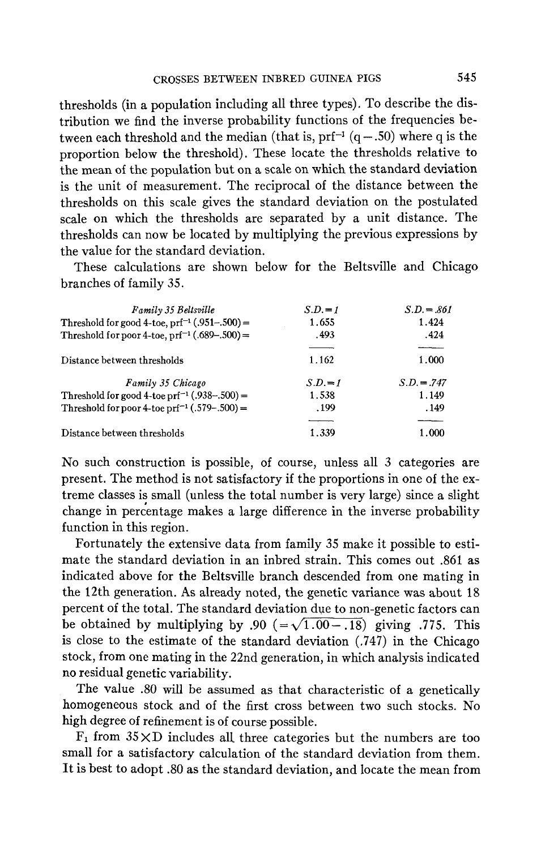thresholds (in a population including all three types). To describe the distribution we find the inverse probability functions of the frequencies between each threshold and the median (that is,  $prf^{-1}$   $(q - .50)$ ) where q is the proportion below the threshold). These locate the thresholds relative to the mean of the population but on a scale on which the standard deviation is the unit of measurement. The reciprocal of the distance between the thresholds on this scale gives the standard deviation on the postulated scale on which the thresholds are separated by a unit distance. The thresholds can now be located by multiplying the previous expressions by the value for the standard deviation.

These calculations are shown below for the Beltsville and Chicago branches of family *35.* 

| branches of family 35.                                   |          |               |
|----------------------------------------------------------|----------|---------------|
| <b>Family 35 Beltsville</b>                              | $S.D.=1$ | $S.D. = .861$ |
| Threshold for good 4-toe, $prf^{-1}$ (.951-.500) =       | 1.655    | 1.424         |
| Threshold for poor 4-toe, $prf^{-1}(.689-.500) =$        | .493     | .424          |
| Distance between thresholds                              | 1.162    | 1.000         |
| Family 35 Chicago                                        | $S.D.=1$ | $S.D. = .747$ |
| Threshold for good 4-toe prf <sup>-1</sup> (.938-.500) = | 1.538    | 1.149         |
| Threshold for poor 4-toe prf <sup>-1</sup> (.579-.500) = | .199     | . 149         |
|                                                          |          |               |
| Distance between thresholds                              | 1.339    | 1.000         |

No such construction is possible, of course, unless all *3* categories are present. The method is not satisfactory if the proportions in one of the extreme classes is small (unless the total number is very large) since a slight change in percentage makes a large difference in the inverse probability function in this region.

Fortunately the extensive data from family *35* make it possible to estimate the standard deviation in an inbred strain. This comes out **361** as indicated above for the Beltsville branch descended from one mating in the 12th generation. **As** already noted, the genetic variance was about 18 percent of the total. The standard deviation due to non-genetic factors can be obtained by multiplying by .90 ( $=\sqrt{1.00-.18}$ ) giving .775. This is close to the estimate of the standard deviation (.747) in the Chicago stock, from one mating in the 22nd generation, in which analysis indicated no residual genetic variability.

The value .SO will be assumed as that characteristic of a genetically homogeneous stock and of the first cross between two such stocks. No high degree of refinement is of course possible.

 $F_1$  from  $35 \times D$  includes all three categories but the numbers are too small for a satisfactory calculation of the standard deviation from them. It is best to adopt .SO as the standard deviation, and locate the mean from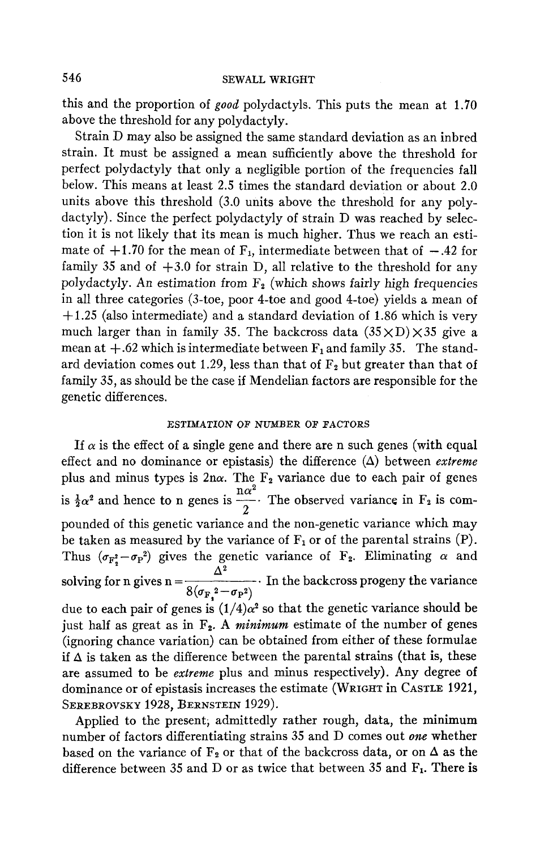this and the proportion of *good* polydactyls. This puts the mean at 1.70 above the threshold for any polydactyly.

Strain D may also be assigned the same standard deviation as an inbred strain. It must be assigned a mean sufficiently above the threshold for perfect polydactyly that only a negligible portion of the frequencies fall below. This means at least 2.5 times the standard deviation or about 2.0 units above this threshold (3.0 units above the threshold for any polydactyly). Since the perfect polydactyly of strain D was reached by selection it is not likely that its mean is much higher. Thus we reach an estimate of  $+1.70$  for the mean of  $F_1$ , intermediate between that of  $-.42$  for family 35 and of  $+3.0$  for strain D, all relative to the threshold for any polydactyly. An estimation from **F2** (which shows fairly high frequencies in all three categories (3-toe, poor 4-toe and good 4-toe) yields a mean of  $+1.25$  (also intermediate) and a standard deviation of 1.86 which is very much larger than in family 35. The backcross data  $(35 \times D) \times 35$  give a mean at  $+.62$  which is intermediate between  $F_1$  and family 35. The standard deviation comes out 1.29, less than that of  $F_2$  but greater than that of family 35, as should be the case if Mendelian factors are responsible for the genetic differences.

### ESTIMATION OP NUMBER OF FACTORS

If  $\alpha$  is the effect of a single gene and there are n such genes (with equal effect and no dominance or epistasis) the difference  $(\Delta)$  between *extreme* plus and minus types is  $2n\alpha$ . The  $F_2$  variance due to each pair of genes is  $\frac{1}{2}\alpha^2$  and hence to n genes is  $\frac{\ln \alpha^2}{\alpha}$ . The observed variance in F<sub>2</sub> is compounded of this genetic variance and the non-genetic variance which may be taken as measured by the variance of  $F_1$  or of the parental strains  $(P)$ . Thus  $(\sigma_{\mathbf{F_s^2}} - \sigma_{\mathbf{P}^2})$  gives the genetic variance of  $\mathbf{F_2}$ . Eliminating  $\alpha$  and solving for n gives  $n = \frac{\Delta^2}{8(\sigma_{F_1}^2 - \sigma_{F_1}^2)}$ . In the backcross progeny the variance due to each pair of genes is  $(1/4)\alpha^2$  so that the genetic variance should be just half as great as in  $F_2$ . A *minimum* estimate of the number of genes (ignoring chance variation) can be obtained from either of these formulae if  $\Delta$  is taken as the difference between the parental strains (that is, these are assumed to be *extreme* plus and minus respectively). Any degree of dominance or of epistasis increases the estimate (WRIGHT in CASTLE 1921, SEREBROVSKY **1928,** BERNSTEIN 1929). 2

Applied to the present; admittedly rather rough, data, the minimum number of factors differentiating strains 35 and D comes out *one* whether based on the variance of  $F_2$  or that of the backcross data, or on  $\Delta$  as the difference between 35 and D or as twice that between 35 and  $F_1$ . There is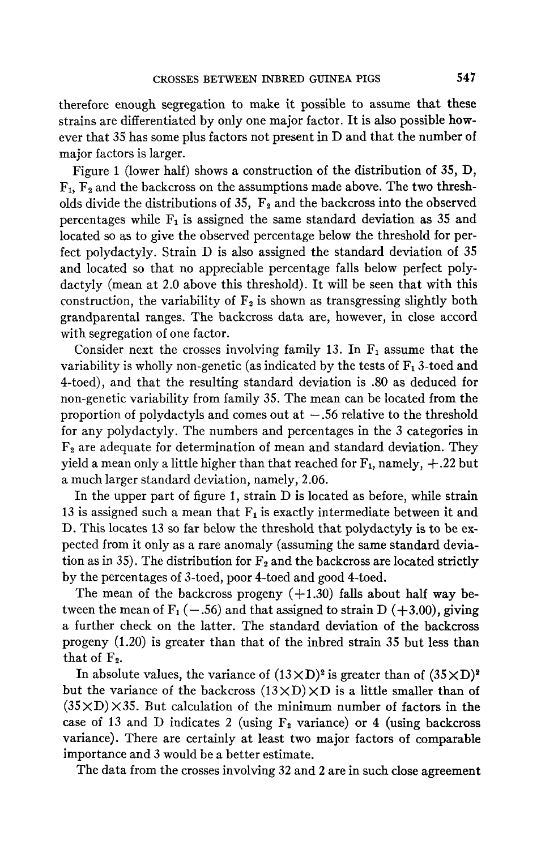therefore enough segregation to make it possible to assume that these strains are differentiated by only one major factor. It is also possible however that 35 has some plus factors not present in D and that the number of major factors is larger.

Figure 1 (lower half) shows a construction of the distribution of 35, D, **F1,** F2 and the backcross on the assumptions made above. The two thresholds divide the distributions of 35,  $F_2$  and the backcross into the observed percentages while  $F_1$  is assigned the same standard deviation as 35 and located so as to give the observed percentage below the threshold for perfect polydactyly. Strain D is also assigned the standard deviation of 35 and located so that no appreciable percentage falls below perfect polydactyly (mean at 2.0 above this threshold). It will be seen that with this construction, the variability of  $F_2$  is shown as transgressing slightly both grandparental ranges. The backcross data are, however, in close accord with segregation of one factor.

Consider next the crosses involving family 13. In  $F_1$  assume that the variability is wholly non-genetic (as indicated by the tests of  $F_1$  3-toed and 4-toed), and that the resulting standard deviation is .80 as deduced for non-genetic variability from family 35. The mean can be located from the proportion of polydactyls and comes out at  $-.56$  relative to the threshold for any polydactyly. The numbers and percentages in the 3 categories in  $F<sub>2</sub>$  are adequate for determination of mean and standard deviation. They yield a mean only a little higher than that reached for  $F_1$ , namely,  $+.22$  but a much larger standard deviation, namely, 2.06.

In the upper part of figure 1, strain D is located as before, while strain 13 is assigned such a mean that  $F_1$  is exactly intermediate between it and D. This locates 13 so far below the threshold that polydactyly is to be expected from it only as a rare anomaly (assuming the same standard deviation as in 35). The distribution for  $F_2$  and the backcross are located strictly by the percentages of 3-toed, poor 4-toed and good 4-toed.

The mean of the backcross progeny  $(+1.30)$  falls about half way between the mean of  $F_1$  (-.56) and that assigned to strain D (+3.00), giving a further check on the latter. The standard deviation of the backcross progeny (1.20) is greater than that of the inbred strain 35 but less than that of  $F_2$ .

In absolute values, the variance of  $(13 \times D)^2$  is greater than of  $(35 \times D)^2$ but the variance of the backcross  $(13 \times D) \times D$  is a little smaller than of  $(35 \times D) \times 35$ . But calculation of the minimum number of factors in the case of 13 and D indicates 2 (using  $F_2$  variance) or 4 (using backcross variance). There are certainly at least two major factors of comparable importance and 3 would be a better estimate.

The data from the crosses involving 32 and 2 are in such close agreement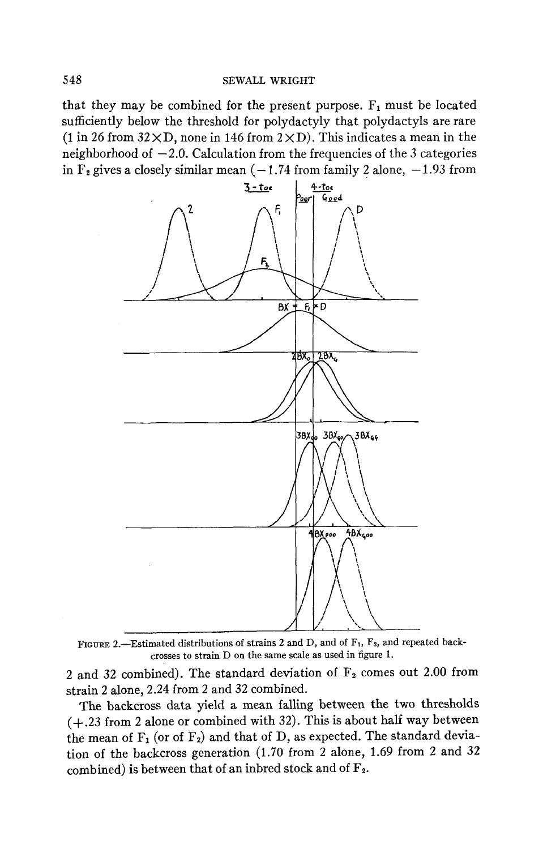that they may be combined for the present purpose.  $F_1$  must be located sufficiently below the threshold for polydactyly that polydactyls are rare (1 in 26 from  $32 \times D$ , none in 146 from  $2 \times D$ ). This indicates a mean in the neighborhood of  $-2.0$ . Calculation from the frequencies of the 3 categories in  $F_2$  gives a closely similar mean  $(-1.74$  from family 2 alone,  $-1.93$  from



FIGURE 2.-Estimated distributions **of** strains 2 and D, and **of** Ft, **Fz,** and repeated backcrosses to strain D on the same scale as used in figure 1.

2 and 32 combined). The standard deviation of **Fz** comes out 2.00 from strain 2 alone, 2.24 from 2 and 32 combined.

The backcross data yield a mean falling between the two thresholds (+.23 from 2 alone or combined with 32). This is about half way between the mean of  $F_1$  (or of  $F_2$ ) and that of D, as expected. The standard deviation of the backcross generation (1.70 from 2 alone, 1.69 from 2 and 32 combined) is between that of an inbred stock and of **Fz.**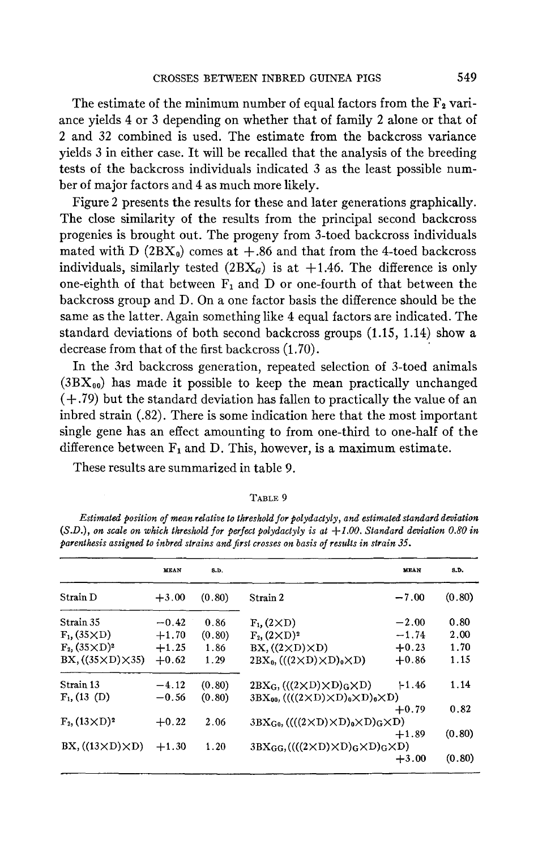The estimate of the minimum number of equal factors from the  $\mathbf{F}_2$  variance yields **4** or 3 depending on whether that of family 2 alone or that of 2 and 32 combined is used. The estimate from the backcross variance yields 3 in either case. It will be recalled that the analysis of the breeding tests of the backcross individuals indicated 3 as the least possible number of major factors and 4 as much more likely.

Figure 2 presents the results for these and later generations graphically. The close similarity of the results from the principal second backcross progenies is brought out. The progeny from 3-toed backcross individuals mated with D  $(2BX_0)$  comes at  $+.86$  and that from the 4-toed backcross individuals, similarly tested  $(2BX_G)$  is at  $+1.46$ . The difference is only one-eighth of that between  $F_1$  and D or one-fourth of that between the backcross group and D. On a one factor basis the difference should be the same as the latter. Again something like 4 equal factors are indicated. The standard deviations of both second backcross groups (1.15, 1.14) show a decrease from that of the first backcross (1.70).

In the 3rd backcross generation, repeated selection of 3-toed animals  $(3BX_{00})$  has made it possible to keep the mean practically unchanged **(+.79)** but the standard deviation has fallen to practically the value of an inbred strain (32). There is some indication here that the most important single gene has an effect amounting to from one-third to one-half of the difference between  $F_1$  and D. This, however, is a maximum estimate.

These results are summarized in table 9.

|                                 | <b>MEAN</b> | <b>S.D.</b> |                                                                                              | <b>MEAN</b> | S.D.   |
|---------------------------------|-------------|-------------|----------------------------------------------------------------------------------------------|-------------|--------|
| Strain D                        | $+3.00$     | (0.80)      | Strain 2                                                                                     | $-7.00$     | (0.80) |
| Strain 35                       | $-0.42$     | 0.86        | $F1$ , $(2 \times D)$                                                                        | $-2.00$     | 0.80   |
| $F_1$ , (35 $\times$ D)         | $+1.70$     | (0.80)      | $F_2$ , $(2 \times D)^2$                                                                     | $-1.74$     | 2.00   |
| $F_2$ , $(35 \times D)^2$       | $+1.25$     | 1.86        | $BX, ((2 \times D) \times D)$                                                                | $+0.23$     | 1.70   |
| BX, $((35 \times D) \times 35)$ | $+0.62$     | 1.29        | $2BX_0$ , $(((2 \times D) \times D)_0 \times D)$                                             | $+0.86$     | 1.15   |
| Strain 13                       | $-4.12$     | (0.80)      | $2BX_G, (((2 \times D) \times D)_G \times D)$                                                | $+1.46$     | 1.14   |
| $F_1$ , (13 (D)                 | $-0.56$     | (0.80)      | $3BX_{90}$ , ((((2 $\times$ D) $\times$ D) <sub>0</sub> $\times$ D) <sub>0</sub> $\times$ D) |             |        |
|                                 |             |             |                                                                                              | $+0.79$     | 0.82   |
| $F_2$ , $(13 \times D)^2$       | $+0.22$     | 2.06        | $3BX_{G_0}((((2 \times D) \times D)_0 \times D)_G \times D)$                                 |             |        |
|                                 |             |             |                                                                                              | $+1.89$     | (0.80) |
| $BX, ((13 \times D) \times D)$  | $+1.30$     | 1.20        | $3BX_{GG}((((2 \times D) \times D)_{G} \times D)_{G} \times D)$                              |             |        |
|                                 |             |             |                                                                                              | $+3.00$     | (0.80) |

**TABLE** 9

*Estimated position of mean relative to threshold* for *polydactyly, and estimated standard deviation*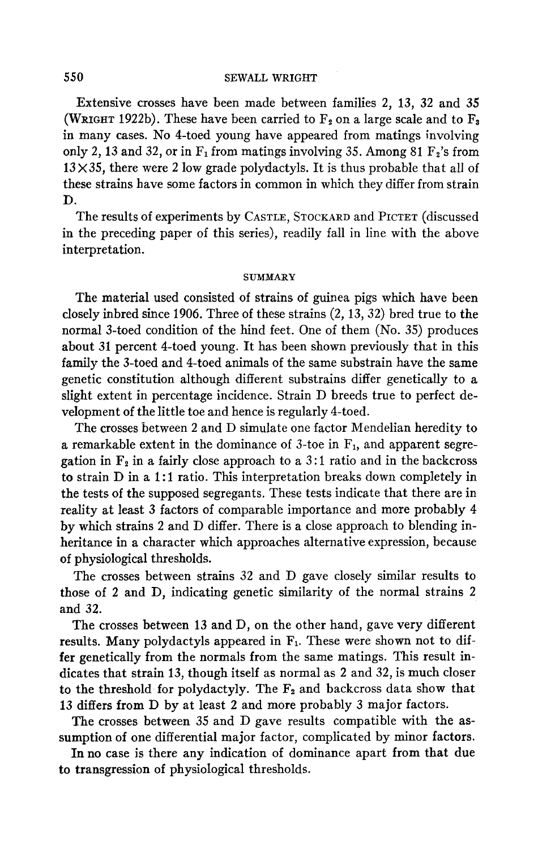## **550 SEWALL WRIGHT**

Extensive crosses have been made between families 2, 13, 32 and 35 (WRIGHT 1922b). These have been carried to  $F_2$  on a large scale and to  $F_3$ in many cases. No 4-toed young have appeared from matings involving only 2, 13 and 32, or in  $F_1$  from matings involving 35. Among 81  $F_2$ 's from  $13\times35$ , there were 2 low grade polydactyls. It is thus probable that all of these strains have some factors in common in which they differ from strain D.

The results of experiments by CASTLE, STOCKARD and PICTET (discussed in the preceding paper of this series), readily fall in line with the above interpretation.

#### **SUMMARY**

The material used consisted of strains of guinea pigs which have been closely inbred since 1906. Three of these strains (2, 13,32) bred true to the normal 3-toed condition of the hind feet. One of them (No. 35) produces about 31 percent 4-toed young. It has been shown previously that in this family the 3-toed and 4-toed animals of the same substrain have the same genetic constitution although different substrains differ genetically to a slight extent in percentage incidence. Strain D breeds true to perfect development of the little toe and hence is regularly 4-toed.

The crosses between 2 and D simulate one factor Mendelian heredity to a remarkable extent in the dominance of 3-toe in  $F_1$ , and apparent segregation in  $F_2$  in a fairly close approach to a 3:1 ratio and in the backcross to strain D in a 1:1 ratio. This interpretation breaks down completely in the tests of the supposed segregants. These tests indicate that there are in reality at least 3 factors of comparable importance and more probably 4 by which strains 2 and D differ. There is a close approach to blending inheritance in a character which approaches alternative expression, because of physiological thresholds.

The crosses between strains 32 and D gave closely similar results to those of 2 and D, indicating genetic similarity of the normal strains 2 and 32.

The crosses between 13 and D, on the other hand, gave very different results. Many polydactyls appeared in  $F_1$ . These were shown not to differ genetically from the normals from the same matings. This result indicates that strain 13, though itself as normal as 2 and 32, is much closer to the threshold for polydactyly. The **Fz** and backcross data show that 13 differs from D by at least 2 and more probably 3 major factors.

The crosses between 35 and D gave results compatible with the assumption of one differential major factor, complicated by minor factors.

Inno case is there **any** indication of dominance apart from that due to transgression **of** physiological thresholds.